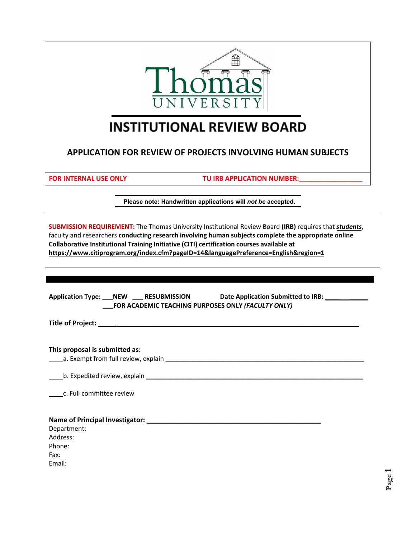

# **INSTITUTIONAL REVIEW BOARD**

**APPLICATION FOR REVIEW OF PROJECTS INVOLVING HUMAN SUBJECTS**

**FOR INTERNAL USE ONLY TU IRB APPLICATION NUMBER:** 

**Please note: Handwritten applications will** *not be* **accepted.**

| faculty and researchers conducting research involving human subjects图图                                                                                                                                                               |               |                      |                                                    |           |     | m  | <b>SUBMISSION REQUIREMENT:</b> The Thomas University Institutional Review Board (IRB) requires that students,<br>909? |
|--------------------------------------------------------------------------------------------------------------------------------------------------------------------------------------------------------------------------------------|---------------|----------------------|----------------------------------------------------|-----------|-----|----|-----------------------------------------------------------------------------------------------------------------------|
| 662                                                                                                                                                                                                                                  | <b>/200</b> ? | d <b>eo</b> ped / 02 | Zid / @ (@ ?                                       | $\bullet$ | 882 | E. |                                                                                                                       |
|                                                                                                                                                                                                                                      |               |                      |                                                    |           |     |    | R                                                                                                                     |
| <b>B/ippd is to pulled a second by the second second contract of the second second contract of the second contract of the second second second second second second second second second second second second second second seco</b> |               |                      |                                                    |           |     |    |                                                                                                                       |
|                                                                                                                                                                                                                                      |               |                      |                                                    |           |     |    |                                                                                                                       |
|                                                                                                                                                                                                                                      |               |                      |                                                    |           |     |    |                                                                                                                       |
|                                                                                                                                                                                                                                      |               |                      |                                                    |           |     |    |                                                                                                                       |
|                                                                                                                                                                                                                                      |               |                      |                                                    |           |     |    |                                                                                                                       |
|                                                                                                                                                                                                                                      |               |                      |                                                    |           |     |    | Application Type: NEW RESUBMISSION Date Application Submitted to IRB:                                                 |
|                                                                                                                                                                                                                                      |               |                      | FOR ACADEMIC TEACHING PURPOSES ONLY (FACULTY ONLY) |           |     |    |                                                                                                                       |
|                                                                                                                                                                                                                                      |               |                      |                                                    |           |     |    |                                                                                                                       |
|                                                                                                                                                                                                                                      |               |                      |                                                    |           |     |    |                                                                                                                       |
|                                                                                                                                                                                                                                      |               |                      |                                                    |           |     |    |                                                                                                                       |
|                                                                                                                                                                                                                                      |               |                      |                                                    |           |     |    |                                                                                                                       |
| This proposal is submitted as:                                                                                                                                                                                                       |               |                      |                                                    |           |     |    |                                                                                                                       |
|                                                                                                                                                                                                                                      |               |                      |                                                    |           |     |    |                                                                                                                       |
|                                                                                                                                                                                                                                      |               |                      |                                                    |           |     |    |                                                                                                                       |
|                                                                                                                                                                                                                                      |               |                      |                                                    |           |     |    |                                                                                                                       |
| b. Expedited review, explain example and a series of the series of the series of the series of the series of the series of the series of the series of the series of the series of the series of the series of the series of t       |               |                      |                                                    |           |     |    |                                                                                                                       |
|                                                                                                                                                                                                                                      |               |                      |                                                    |           |     |    |                                                                                                                       |
| c. Full committee review                                                                                                                                                                                                             |               |                      |                                                    |           |     |    |                                                                                                                       |
|                                                                                                                                                                                                                                      |               |                      |                                                    |           |     |    |                                                                                                                       |
|                                                                                                                                                                                                                                      |               |                      |                                                    |           |     |    |                                                                                                                       |
|                                                                                                                                                                                                                                      |               |                      |                                                    |           |     |    |                                                                                                                       |
| Department:                                                                                                                                                                                                                          |               |                      |                                                    |           |     |    |                                                                                                                       |
| Address:                                                                                                                                                                                                                             |               |                      |                                                    |           |     |    |                                                                                                                       |
| Phone:                                                                                                                                                                                                                               |               |                      |                                                    |           |     |    |                                                                                                                       |
| Fax:                                                                                                                                                                                                                                 |               |                      |                                                    |           |     |    |                                                                                                                       |
| Email:                                                                                                                                                                                                                               |               |                      |                                                    |           |     |    |                                                                                                                       |
|                                                                                                                                                                                                                                      |               |                      |                                                    |           |     |    |                                                                                                                       |
|                                                                                                                                                                                                                                      |               |                      |                                                    |           |     |    |                                                                                                                       |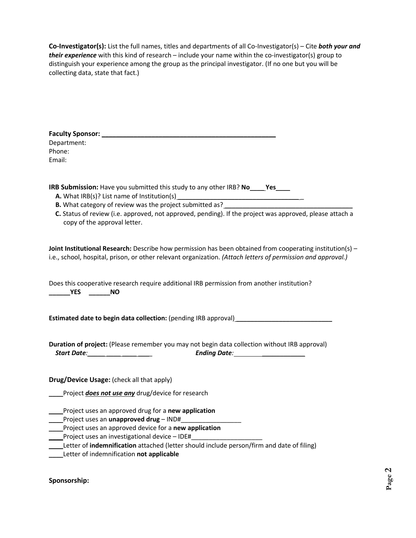**Co-Investigator(s):** List the full names, titles and departments of all Co-Investigator(s) – Cite *both your and their experience* with this kind of research – include your name within the co-investigator(s) group to distinguish your experience among the group as the principal investigator. (If no one but you will be collecting data, state that fact.)

| Department:<br>Phone:<br>Email:                                                                                                                                                                                                                                                                                                       |
|---------------------------------------------------------------------------------------------------------------------------------------------------------------------------------------------------------------------------------------------------------------------------------------------------------------------------------------|
| IRB Submission: Have you submitted this study to any other IRB? No_____Yes_____<br>B. What category of review was the project submitted as?________________________<br>C. Status of review (i.e. approved, not approved, pending). If the project was approved, please attach a<br>copy of the approval letter.                       |
| Joint Institutional Research: Describe how permission has been obtained from cooperating institution(s) -<br>i.e., school, hospital, prison, or other relevant organization. (Attach letters of permission and approval.)                                                                                                             |
| Does this cooperative research require additional IRB permission from another institution?                                                                                                                                                                                                                                            |
| <b>Estimated date to begin data collection:</b> (pending IRB approval) _____________________                                                                                                                                                                                                                                          |
| Duration of project: (Please remember you may not begin data collection without IRB approval)<br>Start Date: <u>Cambridge Contract Contract Contract Contract Contract Contract Contract Contract Contract Contract Contract Contract Contract Contract Contract Contract Contract Contract Contract Contract Contract Contract C</u> |
| Drug/Device Usage: (check all that apply)<br>Project does not use any drug/device for research                                                                                                                                                                                                                                        |
| Project uses an approved drug for a new application<br>Project uses an approved device for a new application<br>Project uses an investigational device - IDE#<br>Letter of indemnification attached (letter should include person/firm and date of filing)<br>Letter of indemnification not applicable                                |

**Sponsorship:**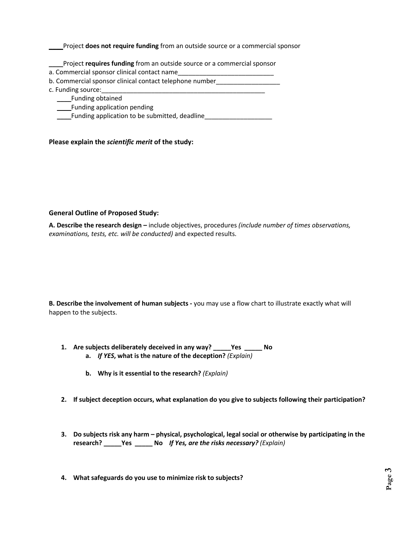\_\_\_\_Project **does not require funding** from an outside source or a commercial sponsor

\_\_\_\_Project **requires funding** from an outside source or a commercial sponsor

- a. Commercial sponsor clinical contact name
- b. Commercial sponsor clinical contact telephone number
- c. Funding source:

\_\_\_\_Funding obtained

\_\_\_\_Funding application pending

\_\_\_\_Funding application to be submitted, deadline\_\_\_\_\_\_\_\_\_\_\_\_\_\_\_\_\_\_\_

**Please explain the** *scientific merit* **of the study:**

#### **General Outline of Proposed Study:**

**A. Describe the research design –** include objectives, procedures *(include number of times observations, examinations, tests, etc. will be conducted)* and expected results.

**B. Describe the involvement of human subjects -** you may use a flow chart to illustrate exactly what will happen to the subjects.

- **1. Are subjects deliberately deceived in any way? \_\_\_\_\_Yes \_\_\_\_\_ No a.** *If YES***, what is the nature of the deception?** *(Explain)*
	- **b. Why is it essential to the research?** *(Explain)*
- **2. If subject deception occurs, what explanation do you give to subjects following their participation?**
- **3. Do subjects risk any harm physical, psychological, legal social or otherwise by participating in the research? \_\_\_\_\_Yes \_\_\_\_\_ No** *If Yes, are the risks necessary? (Explain)*
- **4. What safeguards do you use to minimize risk to subjects?**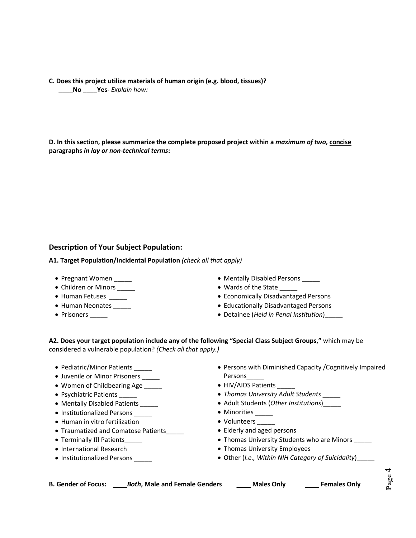**C. Does this project utilize materials of human origin (e.g. blood, tissues)?** \_\_\_\_**No** \_\_\_\_**Yes-** *Explain how:*

**D. In this section, please summarize the complete proposed project within a** *maximum of two***, concise paragraphs** *in lay or non-technical terms***:** 

## **Description of Your Subject Population:**

**A1. Target Population/Incidental Population** *(check all that apply)*

- Pregnant Women \_\_\_\_\_
- Children or Minors \_\_\_\_\_
- Human Fetuses
- Human Neonates
- Prisoners \_\_\_\_\_\_
- Mentally Disabled Persons \_\_\_\_\_
- Wards of the State \_
- Economically Disadvantaged Persons
- Educationally Disadvantaged Persons
- Detainee (*Held in Penal Institution*)\_\_\_\_\_

**A2. Does your target population include any of the following "Special Class Subject Groups,"** which may be considered a vulnerable population? *(Check all that apply.)* 

- Pediatric/Minor Patients
- Juvenile or Minor Prisoners \_\_\_\_\_
- Women of Childbearing Age \_\_\_\_\_
- Psychiatric Patients \_\_\_\_\_
- Mentally Disabled Patients
- Institutionalized Persons \_\_\_\_\_
- Human in vitro fertilization
- Traumatized and Comatose Patients\_\_\_\_\_
- Terminally Ill Patients
- International Research
- Institutionalized Persons \_\_\_\_\_
- Persons with Diminished Capacity /Cognitively Impaired Persons\_\_\_\_\_
- HIV/AIDS Patients
- *Thomas University Adult Students* \_\_\_\_\_
- Adult Students (*Other Institutions*)\_\_\_\_\_
- Minorities \_\_\_\_\_
- Volunteers
- Elderly and aged persons
- Thomas University Students who are Minors
- Thomas University Employees
- Other (*I.e., Within NIH Category of Suicidality*)\_\_\_\_\_

**B. Gender of Focus: \_\_\_\_***Both***, Male and Female Genders** \_\_\_\_ **Males Only** \_\_\_\_ **Females Only**

**Page 4**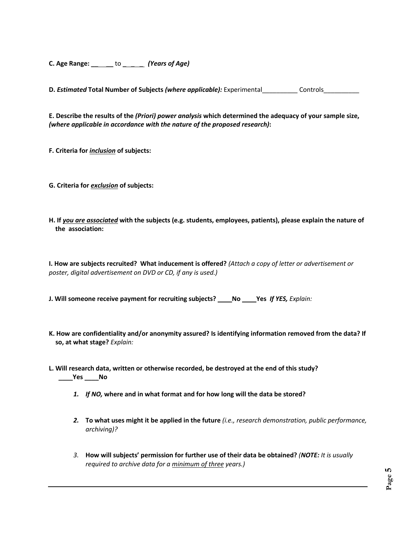**C. Age Range:** \_\_ \_\_ to \_ \_ \_ *(Years of Age)*

**D.** *Estimated* Total Number of Subjects *(where applicable):* Experimental Controls

**E. Describe the results of the** *(Priori) power analysis* **which determined the adequacy of your sample size,**  *(where applicable in accordance with the nature of the proposed research)***:** 

**F. Criteria for** *inclusion* **of subjects:**

- **G. Criteria for** *exclusion* **of subjects:**
- **H. If** *you are associated* **with the subjects (e.g. students, employees, patients), please explain the nature of the association:**

**I. How are subjects recruited? What inducement is offered?** *(Attach a copy of letter or advertisement or poster, digital advertisement on DVD or CD, if any is used.)*

**J. Will someone receive payment for recruiting subjects?** \_\_\_\_**No** \_\_\_\_**Yes** *If YES, Explain:*

- **K. How are confidentiality and/or anonymity assured? Is identifying information removed from the data? If so, at what stage?** *Explain:*
- **L. Will research data, written or otherwise recorded, be destroyed at the end of this study?** \_\_\_\_**Yes** \_\_\_\_**No** 
	- *1. If NO,* **where and in what format and for how long will the data be stored?**
	- *2.* **To what uses might it be applied in the future** *(i.e., research demonstration, public performance, archiving)?*
	- *3.* **How will subjects' permission for further use of their data be obtained?** *(NOTE: It is usually required to archive data for a minimum of three years.)*

**Page** <u>ທ</u>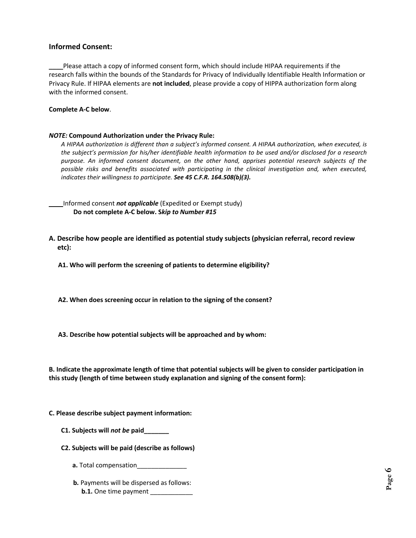#### **Informed Consent:**

\_\_\_\_Please attach a copy of informed consent form, which should include HIPAA requirements if the research falls within the bounds of the Standards for Privacy of Individually Identifiable Health Information or Privacy Rule. If HIPAA elements are **not included**, please provide a copy of HIPPA authorization form along with the informed consent.

#### **Complete A-C below**.

#### *NOTE:* **Compound Authorization under the Privacy Rule:**

*A HIPAA authorization is different than a subject's informed consent. A HIPAA authorization, when executed, is the subject's permission for his/her identifiable health information to be used and/or disclosed for a research purpose. An informed consent document, on the other hand, apprises potential research subjects of the possible risks and benefits associated with participating in the clinical investigation and, when executed, indicates their willingness to participate. See 45 C.F.R. 164.508(b)(3).*

\_\_\_\_Informed consent *not applicable* (Expedited or Exempt study) **Do not complete A-C below. S***kip to Number #15*

**A. Describe how people are identified as potential study subjects (physician referral, record review etc):**

**A1. Who will perform the screening of patients to determine eligibility?**

- **A2. When does screening occur in relation to the signing of the consent?**
- **A3. Describe how potential subjects will be approached and by whom:**

**B. Indicate the approximate length of time that potential subjects will be given to consider participation in this study (length of time between study explanation and signing of the consent form):**

#### **C. Please describe subject payment information:**

- **C1. Subjects will** *not be* **paid\_\_\_\_\_\_\_**
- **C2. Subjects will be paid (describe as follows)**
	- **a.** Total compensation\_\_\_\_\_\_\_
	- **b.** Payments will be dispersed as follows: **b.1.** One time payment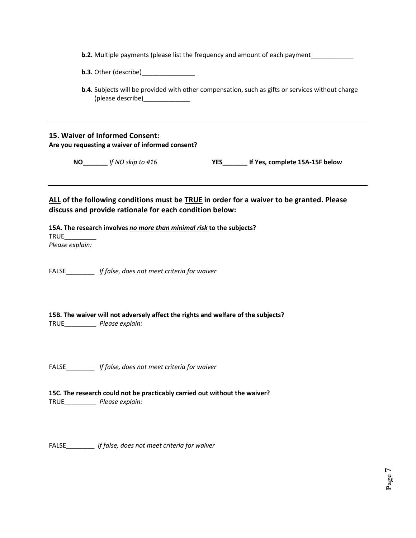| <b>b.2.</b> Multiple payments (please list the frequency and amount of each payment |  |  |
|-------------------------------------------------------------------------------------|--|--|
|-------------------------------------------------------------------------------------|--|--|

**b.3.** Other (describe)

 **b.4.** Subjects will be provided with other compensation, such as gifts or services without charge (please describe)\_\_\_\_\_\_\_\_\_\_\_\_\_

### **15. Waiver of Informed Consent: Are you requesting a waiver of informed consent?**

**NO\_\_\_\_\_\_\_** *If NO skip to #16* **YES\_\_\_\_\_\_\_ If Yes, complete 15A-15F below**

**ALL of the following conditions must be TRUE in order for a waiver to be granted. Please discuss and provide rationale for each condition below:**

**15A. The research involves** *no more than minimal risk* **to the subjects?** TRUE\_\_\_\_\_\_\_\_\_ *Please explain:*

FALSE\_\_\_\_\_\_\_\_ *If false, does not meet criteria for waiver*

**15B. The waiver will not adversely affect the rights and welfare of the subjects?** TRUE\_\_\_\_\_\_\_\_\_ *Please explain:*

FALSE\_\_\_\_\_\_\_\_ *If false, does not meet criteria for waiver*

**15C. The research could not be practicably carried out without the waiver?** TRUE\_\_\_\_\_\_\_\_\_ *Please explain:*

FALSE\_\_\_\_\_\_\_\_ *If false, does not meet criteria for waiver*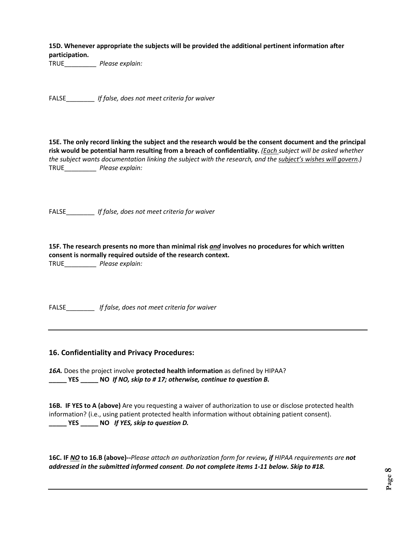**15D. Whenever appropriate the subjects will be provided the additional pertinent information after participation.**

TRUE\_\_\_\_\_\_\_\_\_ *Please explain:*

FALSE\_\_\_\_\_\_\_\_ *If false, does not meet criteria for waiver*

**15E. The only record linking the subject and the research would be the consent document and the principal risk would be potential harm resulting from a breach of confidentiality.** *(Each subject will be asked whether the subject wants documentation linking the subject with the research, and the subject's wishes will govern.)* TRUE\_\_\_\_\_\_\_\_\_ *Please explain:*

FALSE\_\_\_\_\_\_\_\_ *If false, does not meet criteria for waiver*

**15F. The research presents no more than minimal risk** *and* **involves no procedures for which written consent is normally required outside of the research context.** TRUE\_\_\_\_\_\_\_\_\_ *Please explain:*

FALSE\_\_\_\_\_\_\_\_ *If false, does not meet criteria for waiver*

#### **16. Confidentiality and Privacy Procedures:**

*16A.* Does the project involve **protected health information** as defined by HIPAA? **\_\_\_\_\_ YES \_\_\_\_\_ NO** *If NO, skip to # 17; otherwise, continue to question B.*

**16B. IF YES to A (above)** Are you requesting a waiver of authorization to use or disclose protected health information? (i.e., using patient protected health information without obtaining patient consent). **\_\_\_\_\_ YES \_\_\_\_\_ NO** *If YES, skip to question D.*

**16C. IF** *NO* **to 16.B (above)--***Please attach an authorization form for review, if HIPAA requirements are not addressed in the submitted informed consent. Do not complete items 1-11 below. Skip to #18.*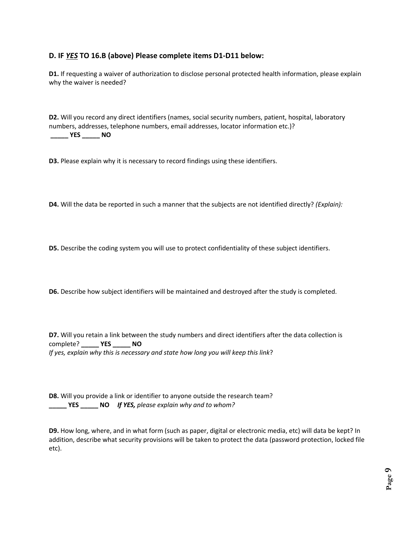# **D. IF** *YES* **TO 16.B (above) Please complete items D1-D11 below:**

**D1.** If requesting a waiver of authorization to disclose personal protected health information, please explain why the waiver is needed?

**D2.** Will you record any direct identifiers (names, social security numbers, patient, hospital, laboratory numbers, addresses, telephone numbers, email addresses, locator information etc.)? **\_\_\_\_\_ YES \_\_\_\_\_ NO**

**D3.** Please explain why it is necessary to record findings using these identifiers.

**D4.** Will the data be reported in such a manner that the subjects are not identified directly? *(Explain):*

**D5.** Describe the coding system you will use to protect confidentiality of these subject identifiers.

**D6.** Describe how subject identifiers will be maintained and destroyed after the study is completed.

**D7.** Will you retain a link between the study numbers and direct identifiers after the data collection is complete? **\_\_\_\_\_ YES \_\_\_\_\_ NO** *If yes, explain why this is necessary and state how long you will keep this link*?

**D8.** Will you provide a link or identifier to anyone outside the research team? **\_\_\_\_\_ YES \_\_\_\_\_ NO** *If YES, please explain why and to whom?*

**D9.** How long, where, and in what form (such as paper, digital or electronic media, etc) will data be kept? In addition, describe what security provisions will be taken to protect the data (password protection, locked file etc).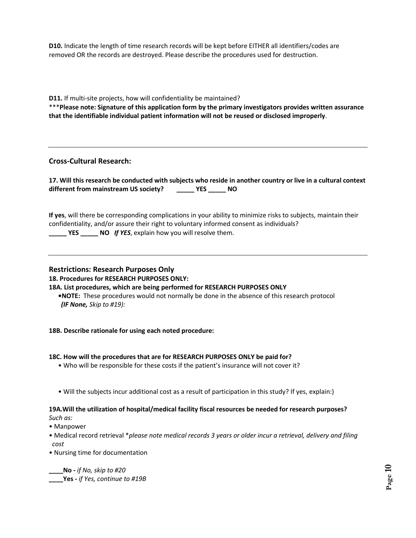**D10.** Indicate the length of time research records will be kept before EITHER all identifiers/codes are removed OR the records are destroyed. Please describe the procedures used for destruction.

**D11.** If multi-site projects, how will confidentiality be maintained?

\*\*\***Please note: Signature of this application form by the primary investigators provides written assurance that the identifiable individual patient information will not be reused or disclosed improperly**.

#### **Cross-Cultural Research:**

| 17. Will this research be conducted with subjects who reside in another country or live in a cultural context |            |  |  |
|---------------------------------------------------------------------------------------------------------------|------------|--|--|
| different from mainstream US society?                                                                         | <b>YES</b> |  |  |

**If yes**, will there be corresponding complications in your ability to minimize risks to subjects, maintain their confidentiality, and/or assure their right to voluntary informed consent as individuals?

**\_\_\_\_\_ YES \_\_\_\_\_ NO** *If YES*, explain how you will resolve them.

#### **Restrictions: Research Purposes Only**

**18. Procedures for RESEARCH PURPOSES ONLY:**

**18A. List procedures, which are being performed for RESEARCH PURPOSES ONLY** 

**•NOTE:** These procedures would not normally be done in the absence of this research protocol *(IF None, Skip to #19):*

#### **18B. Describe rationale for using each noted procedure:**

#### **18C. How will the procedures that are for RESEARCH PURPOSES ONLY be paid for?**

- Who will be responsible for these costs if the patient's insurance will not cover it?
- Will the subjects incur additional cost as a result of participation in this study? If yes, explain:)

# **19A.Will the utilization of hospital/medical facility fiscal resources be needed for research purposes?**

*Such as:* 

- Manpower
- Medical record retrieval \**please note medical records 3 years or older incur a retrieval, delivery and filing cost*
- Nursing time for documentation

**\_\_\_\_No -** *if No, skip to #20*

**\_\_\_\_Yes -** *if Yes, continue to #19B*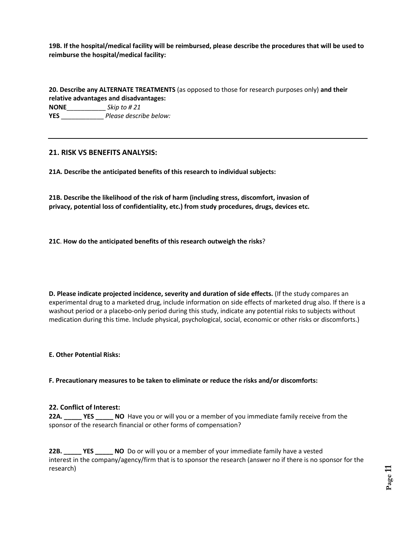**19B. If the hospital/medical facility will be reimbursed, please describe the procedures that will be used to reimburse the hospital/medical facility:**

**20. Describe any ALTERNATE TREATMENTS** (as opposed to those for research purposes only) **and their relative advantages and disadvantages: NONE**\_\_\_\_\_\_\_\_\_\_\_ *Skip to # 21* **YES** \_\_\_\_\_\_\_\_\_\_\_\_ *Please describe below:* 

#### **21. RISK VS BENEFITS ANALYSIS:**

**21A. Describe the anticipated benefits of this research to individual subjects:**

**21B. Describe the likelihood of the risk of harm (including stress, discomfort, invasion of privacy, potential loss of confidentiality, etc.) from study procedures, drugs, devices etc.**

**21C**. **How do the anticipated benefits of this research outweigh the risks**?

**D. Please indicate projected incidence, severity and duration of side effects.** (If the study compares an experimental drug to a marketed drug, include information on side effects of marketed drug also. If there is a washout period or a placebo-only period during this study, indicate any potential risks to subjects without medication during this time. Include physical, psychological, social, economic or other risks or discomforts.)

#### **E. Other Potential Risks:**

**F. Precautionary measures to be taken to eliminate or reduce the risks and/or discomforts:**

#### **22. Conflict of Interest:**

**22A. \_\_\_\_\_ YES \_\_\_\_\_ NO** Have you or will you or a member of you immediate family receive from the sponsor of the research financial or other forms of compensation?

**22B. \_\_\_\_\_ YES \_\_\_\_\_ NO** Do or will you or a member of your immediate family have a vested interest in the company/agency/firm that is to sponsor the research (answer no if there is no sponsor for the research)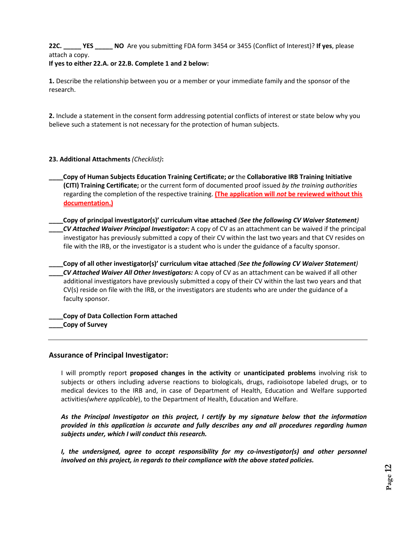# **22C. \_\_\_\_\_ YES \_\_\_\_\_ NO** Are you submitting FDA form 3454 or 3455 (Conflict of Interest)? **If yes**, please attach a copy.

#### **If yes to either 22.A. or 22.B. Complete 1 and 2 below:**

**1.** Describe the relationship between you or a member or your immediate family and the sponsor of the research.

**2.** Include a statement in the consent form addressing potential conflicts of interest or state below why you believe such a statement is not necessary for the protection of human subjects.

#### **23. Additional Attachments** *(Checklist)***:**

- **\_\_\_\_Copy of Human Subjects Education Training Certificate;** *or* the **Collaborative IRB Training Initiative (CITI) Training Certificate;** or the current form of documented proof issued *by the training authorities* regarding the completion of the respective training. **(The application will** *not* **be reviewed without this documentation.)**
- **\_\_\_\_Copy of principal investigator(s)' curriculum vitae attached** *(See the following CV Waiver Statement)*  **\_\_\_\_***CV Attached Waiver Principal Investigator:* A copy of CV as an attachment can be waived if the principal investigator has previously submitted a copy of their CV within the last two years and that CV resides on file with the IRB, or the investigator is a student who is under the guidance of a faculty sponsor.

**\_\_\_\_Copy of all other investigator(s)' curriculum vitae attached** *(See the following CV Waiver Statement)*  **\_\_\_\_***CV Attached Waiver All Other Investigators:* A copy of CV as an attachment can be waived if all other additional investigators have previously submitted a copy of their CV within the last two years and that CV(s) reside on file with the IRB, or the investigators are students who are under the guidance of a faculty sponsor.

**\_\_\_\_Copy of Data Collection Form attached \_\_\_\_Copy of Survey** 

#### **Assurance of Principal Investigator:**

I will promptly report **proposed changes in the activity** or **unanticipated problems** involving risk to subjects or others including adverse reactions to biologicals, drugs, radioisotope labeled drugs, or to medical devices to the IRB and, in case of Department of Health, Education and Welfare supported activities*(where applicable*), to the Department of Health, Education and Welfare.

*As the Principal Investigator on this project, I certify by my signature below that the information provided in this application is accurate and fully describes any and all procedures regarding human subjects under, which I will conduct this research.*

*I, the undersigned, agree to accept responsibility for my co-investigator(s) and other personnel involved on this project, in regards to their compliance with the above stated policies.*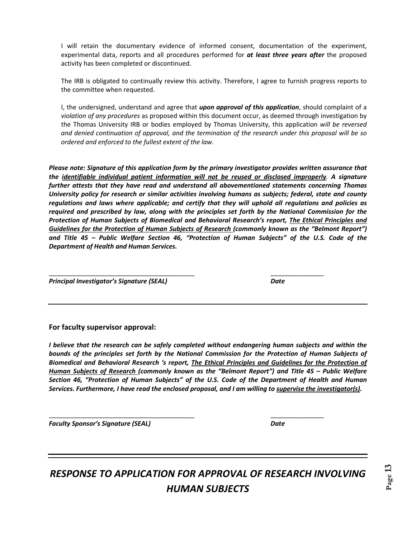I will retain the documentary evidence of informed consent, documentation of the experiment, experimental data, reports and all procedures performed for *at least three years after* the proposed activity has been completed or discontinued.

The IRB is obligated to continually review this activity. Therefore, I agree to furnish progress reports to the committee when requested.

I, the undersigned, understand and agree that *upon approval of this application*, should complaint of a *violation of any procedures* as proposed within this document occur, as deemed through investigation by the Thomas University IRB or bodies employed by Thomas University, this application *will be reversed and denied continuation of approval, and the termination of the research under this proposal will be so ordered and enforced to the fullest extent of the law.*

*Please note: Signature of this application form by the primary investigator provides written assurance that the identifiable individual patient information will not be reused or disclosed improperly. A signature further attests that they have read and understand all abovementioned statements concerning Thomas University policy for research or similar activities involving humans as subjects; federal, state and county regulations and laws where applicable; and certify that they will uphold all regulations and policies as required and prescribed by law, along with the principles set forth by the National Commission for the Protection of Human Subjects of Biomedical and Behavioral Research's report, The Ethical Principles and Guidelines for the Protection of Human Subjects of Research (commonly known as the "Belmont Report") and Title 45 – Public Welfare Section 46, "Protection of Human Subjects" of the U.S. Code of the Department of Health and Human Services.*

\_\_\_\_\_\_\_\_\_\_\_\_\_\_\_\_\_\_\_\_\_\_\_\_\_\_\_\_\_\_\_\_\_\_\_\_\_\_\_\_\_ \_\_\_\_\_\_\_\_\_\_\_\_\_\_\_

\_\_\_\_\_\_\_\_\_\_\_\_\_\_\_\_\_\_\_\_\_\_\_\_\_\_\_\_\_\_\_\_\_\_\_\_\_\_\_\_\_ \_\_\_\_\_\_\_\_\_\_\_\_\_\_\_

*Principal Investigator's Signature (SEAL) Date*

**For faculty supervisor approval:** 

*I believe that the research can be safely completed without endangering human subjects and within the bounds of the principles set forth by the National Commission for the Protection of Human Subjects of Biomedical and Behavioral Research 's report, The Ethical Principles and Guidelines for the Protection of Human Subjects of Research (commonly known as the "Belmont Report") and Title 45 – Public Welfare Section 46, "Protection of Human Subjects" of the U.S. Code of the Department of Health and Human Services. Furthermore, I have read the enclosed proposal, and I am willing to supervise the investigator(s).* 

*Faculty Sponsor's Signature (SEAL) Date*

*RESPONSE TO APPLICATION FOR APPROVAL OF RESEARCH INVOLVING HUMAN SUBJECTS*